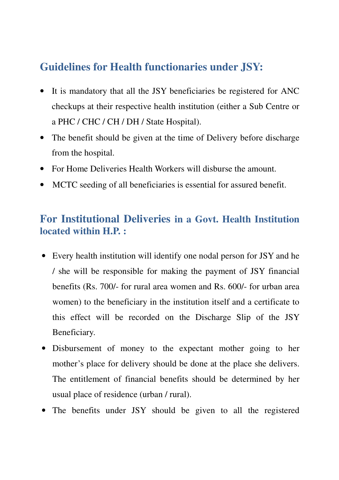## **Guidelines for Health functionaries under JSY:**

- It is mandatory that all the JSY beneficiaries be registered for ANC checkups at their respective health institution (either a Sub Centre or a PHC / CHC / CH / DH / State Hospital).
- The benefit should be given at the time of Delivery before discharge from the hospital.
- For Home Deliveries Health Workers will disburse the amount.
- MCTC seeding of all beneficiaries is essential for assured benefit.

#### **For Institutional Deliveries in a Govt. Health Institution located within H.P. :**

- Every health institution will identify one nodal person for JSY and he / she will be responsible for making the payment of JSY financial benefits (Rs. 700/- for rural area women and Rs. 600/- for urban area women) to the beneficiary in the institution itself and a certificate to this effect will be recorded on the Discharge Slip of the JSY Beneficiary.
- Disbursement of money to the expectant mother going to her mother's place for delivery should be done at the place she delivers. The entitlement of financial benefits should be determined by her usual place of residence (urban / rural).
- The benefits under JSY should be given to all the registered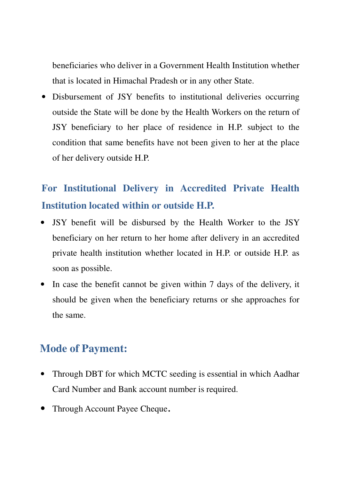beneficiaries who deliver in a Government Health Institution whether that is located in Himachal Pradesh or in any other State.

• Disbursement of JSY benefits to institutional deliveries occurring outside the State will be done by the Health Workers on the return of JSY beneficiary to her place of residence in H.P. subject to the condition that same benefits have not been given to her at the place of her delivery outside H.P.

# **For Institutional Delivery in Accredited Private Health Institution located within or outside H.P.**

- JSY benefit will be disbursed by the Health Worker to the JSY beneficiary on her return to her home after delivery in an accredited private health institution whether located in H.P. or outside H.P. as soon as possible.
- In case the benefit cannot be given within 7 days of the delivery, it should be given when the beneficiary returns or she approaches for the same.

### **Mode of Payment:**

- Through DBT for which MCTC seeding is essential in which Aadhar Card Number and Bank account number is required.
- Through Account Payee Cheque.